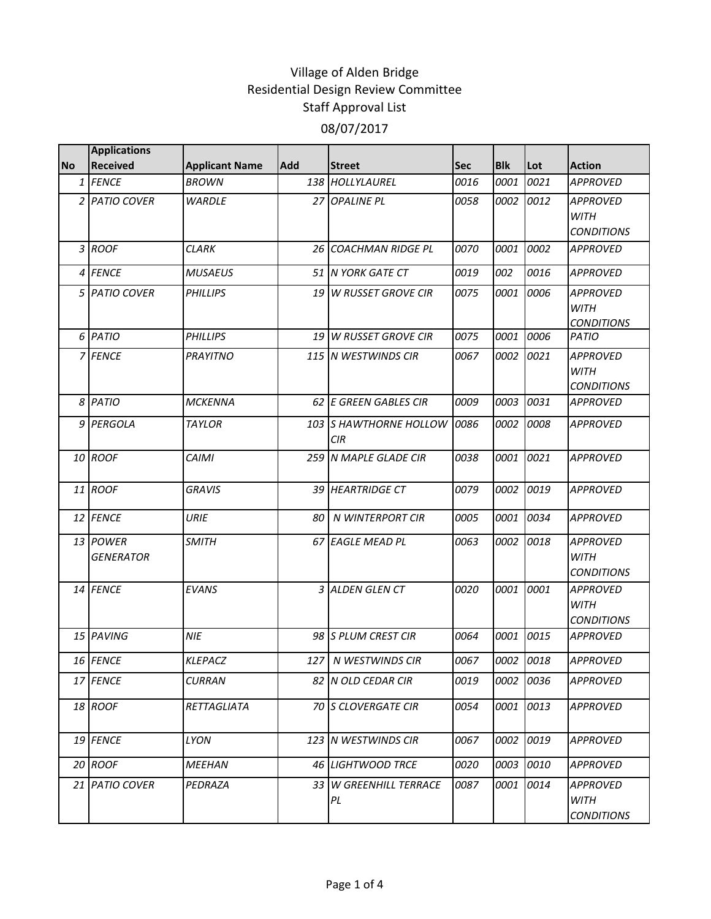| <b>No</b> | <b>Applications</b><br><b>Received</b> | <b>Applicant Name</b> | Add | <b>Street</b>                        | Sec  | <b>Blk</b> | Lot  | <b>Action</b>                                       |
|-----------|----------------------------------------|-----------------------|-----|--------------------------------------|------|------------|------|-----------------------------------------------------|
|           | 1 FENCE                                | <b>BROWN</b>          |     | 138 HOLLYLAUREL                      | 0016 | 0001       | 0021 | <b>APPROVED</b>                                     |
|           | 2 PATIO COVER                          | <b>WARDLE</b>         |     | 27 OPALINE PL                        | 0058 | 0002       | 0012 | <b>APPROVED</b><br><b>WITH</b><br><b>CONDITIONS</b> |
|           | 3 ROOF                                 | <b>CLARK</b>          |     | <b>26 COACHMAN RIDGE PL</b>          | 0070 | 0001       | 0002 | <b>APPROVED</b>                                     |
|           | 4 FENCE                                | <b>MUSAEUS</b>        |     | 51 N YORK GATE CT                    | 0019 | 002        | 0016 | <b>APPROVED</b>                                     |
|           | 5 PATIO COVER                          | <b>PHILLIPS</b>       |     | 19 W RUSSET GROVE CIR                | 0075 | 0001       | 0006 | <b>APPROVED</b><br><b>WITH</b><br><b>CONDITIONS</b> |
|           | 6 PATIO                                | <b>PHILLIPS</b>       |     | 19 W RUSSET GROVE CIR                | 0075 | 0001       | 0006 | PATIO                                               |
|           | 7 FENCE                                | <b>PRAYITNO</b>       |     | 115 IN WESTWINDS CIR                 | 0067 | 0002       | 0021 | <b>APPROVED</b><br><b>WITH</b><br><b>CONDITIONS</b> |
|           | 8 PATIO                                | <b>MCKENNA</b>        |     | 62 E GREEN GABLES CIR                | 0009 | 0003       | 0031 | <b>APPROVED</b>                                     |
|           | 9 PERGOLA                              | <b>TAYLOR</b>         |     | 103 S HAWTHORNE HOLLOW<br><b>CIR</b> | 0086 | 0002       | 0008 | <b>APPROVED</b>                                     |
|           | 10 ROOF                                | <b>CAIMI</b>          |     | 259 N MAPLE GLADE CIR                | 0038 | 0001       | 0021 | <b>APPROVED</b>                                     |
|           | 11 ROOF                                | <b>GRAVIS</b>         |     | <b>39 HEARTRIDGE CT</b>              | 0079 | 0002       | 0019 | <b>APPROVED</b>                                     |
|           | 12 FENCE                               | <b>URIE</b>           |     | 80 N WINTERPORT CIR                  | 0005 | 0001       | 0034 | <b>APPROVED</b>                                     |
|           | 13 POWER<br><b>GENERATOR</b>           | <b>SMITH</b>          |     | 67 EAGLE MEAD PL                     | 0063 | 0002       | 0018 | <b>APPROVED</b><br><b>WITH</b><br><b>CONDITIONS</b> |
|           | 14 FENCE                               | <b>EVANS</b>          |     | 3 ALDEN GLEN CT                      | 0020 | 0001       | 0001 | <b>APPROVED</b><br><b>WITH</b><br><b>CONDITIONS</b> |
|           | 15 PAVING                              | <b>NIE</b>            |     | 98 S PLUM CREST CIR                  | 0064 | 0001       | 0015 | <b>APPROVED</b>                                     |
|           | 16 FENCE                               | <b>KLEPACZ</b>        |     | 127 N WESTWINDS CIR                  | 0067 | 0002       | 0018 | <b>APPROVED</b>                                     |
|           | 17 FENCE                               | <b>CURRAN</b>         |     | 82 IN OLD CEDAR CIR                  | 0019 | 0002       | 0036 | <b>APPROVED</b>                                     |
|           | 18 ROOF                                | RETTAGLIATA           |     | 70 S CLOVERGATE CIR                  | 0054 | 0001       | 0013 | <b>APPROVED</b>                                     |
|           | 19 FENCE                               | LYON                  |     | 123 IN WESTWINDS CIR                 | 0067 | 0002       | 0019 | <b>APPROVED</b>                                     |
|           | 20 ROOF                                | MEEHAN                |     | 46 LIGHTWOOD TRCE                    | 0020 | 0003       | 0010 | <b>APPROVED</b>                                     |
|           | 21 PATIO COVER                         | PEDRAZA               |     | 33 W GREENHILL TERRACE<br>PL         | 0087 | 0001       | 0014 | <b>APPROVED</b><br>WITH<br><b>CONDITIONS</b>        |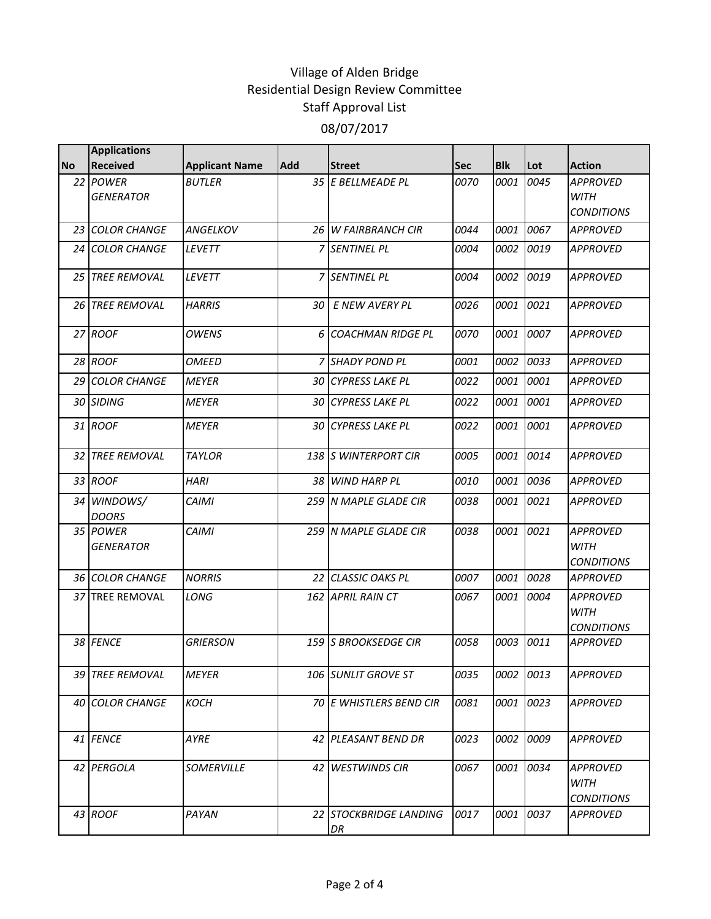|           | <b>Applications</b>          |                       |            |                              |      |            |           |                                                     |
|-----------|------------------------------|-----------------------|------------|------------------------------|------|------------|-----------|-----------------------------------------------------|
| <b>No</b> | <b>Received</b>              | <b>Applicant Name</b> | <b>Add</b> | <b>Street</b>                | Sec  | <b>Blk</b> | Lot       | <b>Action</b>                                       |
|           | 22 POWER<br><b>GENERATOR</b> | <b>BUTLER</b>         |            | 35 E BELLMEADE PL            | 0070 | 0001       | 0045      | <b>APPROVED</b><br><b>WITH</b><br><b>CONDITIONS</b> |
|           | 23 COLOR CHANGE              | <b>ANGELKOV</b>       |            | <b>26 W FAIRBRANCH CIR</b>   | 0044 | 0001       | 0067      | <b>APPROVED</b>                                     |
|           | <b>24 COLOR CHANGE</b>       | <b>LEVETT</b>         |            | <b>7 SENTINEL PL</b>         | 0004 | 0002       | 0019      | <b>APPROVED</b>                                     |
|           | <b>25 TREE REMOVAL</b>       | <b>LEVETT</b>         |            | <b>7 SENTINEL PL</b>         | 0004 |            | 0002 0019 | <b>APPROVED</b>                                     |
|           | 26 TREE REMOVAL              | <b>HARRIS</b>         | 30         | E NEW AVERY PL               | 0026 |            | 0001 0021 | <b>APPROVED</b>                                     |
|           | 27 ROOF                      | <b>OWENS</b>          |            | 6 COACHMAN RIDGE PL          | 0070 | 0001       | 0007      | <b>APPROVED</b>                                     |
|           | 28 ROOF                      | <b>OMEED</b>          |            | 7 SHADY POND PL              | 0001 | 0002       | 0033      | <b>APPROVED</b>                                     |
|           | <b>29 COLOR CHANGE</b>       | <b>MEYER</b>          |            | <b>30 CYPRESS LAKE PL</b>    | 0022 | 0001       | 0001      | APPROVED                                            |
|           | 30 SIDING                    | <b>MEYER</b>          |            | 30 CYPRESS LAKE PL           | 0022 | 0001       | 0001      | <b>APPROVED</b>                                     |
|           | 31 ROOF                      | <b>MEYER</b>          |            | 30 CYPRESS LAKE PL           | 0022 | 0001       | 0001      | <b>APPROVED</b>                                     |
|           | <b>32 TREE REMOVAL</b>       | <b>TAYLOR</b>         |            | 138 S WINTERPORT CIR         | 0005 | 0001       | 0014      | <b>APPROVED</b>                                     |
|           | 33 ROOF                      | <b>HARI</b>           |            | 38 WIND HARP PL              | 0010 | 0001       | 0036      | <b>APPROVED</b>                                     |
|           | 34 WINDOWS/<br><b>DOORS</b>  | <b>CAIMI</b>          |            | 259 N MAPLE GLADE CIR        | 0038 | 0001       | 0021      | <b>APPROVED</b>                                     |
|           | 35 POWER<br><b>GENERATOR</b> | <b>CAIMI</b>          |            | 259 N MAPLE GLADE CIR        | 0038 | 0001       | 0021      | <b>APPROVED</b><br><b>WITH</b><br><b>CONDITIONS</b> |
|           | 36 COLOR CHANGE              | <b>NORRIS</b>         |            | 22 CLASSIC OAKS PL           | 0007 | 0001       | 0028      | <b>APPROVED</b>                                     |
|           | 37 TREE REMOVAL              | LONG                  |            | 162 APRIL RAIN CT            | 0067 | 0001       | 0004      | <b>APPROVED</b><br><b>WITH</b><br><b>CONDITIONS</b> |
|           | 38 FENCE                     | <b>GRIERSON</b>       |            | <b>159 IS BROOKSEDGE CIR</b> | 0058 | 0003       | 0011      | <b>APPROVED</b>                                     |
|           | 39 TREE REMOVAL              | <b>MEYER</b>          |            | 106 SUNLIT GROVE ST          | 0035 | 0002 0013  |           | APPROVED                                            |
|           | 40 COLOR CHANGE              | <b>KOCH</b>           |            | 70 E WHISTLERS BEND CIR      | 0081 |            | 0001 0023 | <b>APPROVED</b>                                     |
|           | 41 FENCE                     | AYRE                  |            | 42 PLEASANT BEND DR          | 0023 |            | 0002 0009 | <b>APPROVED</b>                                     |
|           | 42 PERGOLA                   | SOMERVILLE            |            | 42 WESTWINDS CIR             | 0067 | 0001       | 0034      | APPROVED<br><b>WITH</b><br><b>CONDITIONS</b>        |
|           | 43 ROOF                      | PAYAN                 |            | 22 STOCKBRIDGE LANDING<br>DR | 0017 | 0001       | 0037      | <b>APPROVED</b>                                     |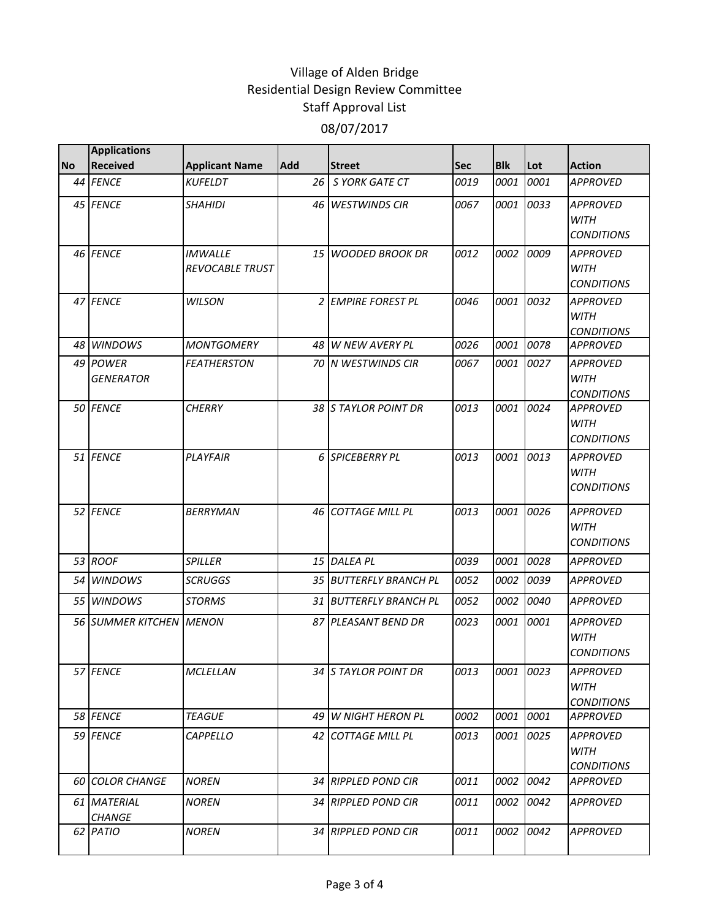|           | <b>Applications</b>          |                                          |            |                        |      |            |           |                                                     |
|-----------|------------------------------|------------------------------------------|------------|------------------------|------|------------|-----------|-----------------------------------------------------|
| <b>No</b> | <b>Received</b>              | <b>Applicant Name</b>                    | <b>Add</b> | <b>Street</b>          | Sec  | <b>Blk</b> | Lot       | <b>Action</b>                                       |
|           | 44 FENCE                     | <b>KUFELDT</b>                           |            | 26 S YORK GATE CT      | 0019 | 0001       | 0001      | <b>APPROVED</b>                                     |
|           | 45 FENCE                     | <b>SHAHIDI</b>                           | 46         | <b>WESTWINDS CIR</b>   | 0067 | 0001       | 0033      | <b>APPROVED</b><br><b>WITH</b><br><b>CONDITIONS</b> |
|           | 46 FENCE                     | <b>IMWALLE</b><br><b>REVOCABLE TRUST</b> | 15 I       | <b>WOODED BROOK DR</b> | 0012 | 0002       | 0009      | <b>APPROVED</b><br><b>WITH</b><br><b>CONDITIONS</b> |
|           | 47 FENCE                     | <b>WILSON</b>                            |            | 2 EMPIRE FOREST PL     | 0046 | 0001       | 0032      | <b>APPROVED</b><br><b>WITH</b><br><b>CONDITIONS</b> |
|           | 48 WINDOWS                   | <b>MONTGOMERY</b>                        |            | 48 W NEW AVERY PL      | 0026 | 0001       | 0078      | <b>APPROVED</b>                                     |
|           | 49 POWER<br><b>GENERATOR</b> | <b>FEATHERSTON</b>                       |            | 70 IN WESTWINDS CIR    | 0067 | 0001       | 0027      | <b>APPROVED</b><br><b>WITH</b><br><b>CONDITIONS</b> |
|           | 50 FENCE                     | <b>CHERRY</b>                            |            | 38 S TAYLOR POINT DR   | 0013 |            | 0001 0024 | <b>APPROVED</b><br><b>WITH</b><br><b>CONDITIONS</b> |
|           | 51 FENCE                     | PLAYFAIR                                 |            | 6 SPICEBERRY PL        | 0013 | 0001       | 0013      | <b>APPROVED</b><br><b>WITH</b><br><b>CONDITIONS</b> |
|           | 52 FENCE                     | <b>BERRYMAN</b>                          | 46 I       | <b>COTTAGE MILL PL</b> | 0013 | 0001       | 0026      | <b>APPROVED</b><br><b>WITH</b><br><b>CONDITIONS</b> |
|           | 53 ROOF                      | <b>SPILLER</b>                           |            | 15 DALEA PL            | 0039 | 0001       | 0028      | <b>APPROVED</b>                                     |
| 54        | <b>WINDOWS</b>               | <b>SCRUGGS</b>                           |            | 35 BUTTERFLY BRANCH PL | 0052 | 0002       | 0039      | <b>APPROVED</b>                                     |
|           | 55 WINDOWS                   | <b>STORMS</b>                            |            | 31 BUTTERFLY BRANCH PL | 0052 | 0002       | 0040      | <b>APPROVED</b>                                     |
|           | <b>56 SUMMER KITCHEN</b>     | <b>MENON</b>                             |            | 87 PLEASANT BEND DR    | 0023 | 0001       | 0001      | <b>APPROVED</b><br><b>WITH</b><br><b>CONDITIONS</b> |
|           | 57 FENCE                     | MCLELLAN                                 |            | 34 S TAYLOR POINT DR   | 0013 |            | 0001 0023 | APPROVED<br><b>WITH</b><br><b>CONDITIONS</b>        |
|           | 58 FENCE                     | <b>TEAGUE</b>                            |            | 49 W NIGHT HERON PL    | 0002 | 0001 0001  |           | <b>APPROVED</b>                                     |
|           | 59 FENCE                     | CAPPELLO                                 |            | 42 COTTAGE MILL PL     | 0013 |            | 0001 0025 | <b>APPROVED</b><br>WITH<br><b>CONDITIONS</b>        |
|           | <b>60 COLOR CHANGE</b>       | <b>NOREN</b>                             |            | 34 RIPPLED POND CIR    | 0011 |            | 0002 0042 | <b>APPROVED</b>                                     |
|           | 61 MATERIAL<br><b>CHANGE</b> | <b>NOREN</b>                             |            | 34 RIPPLED POND CIR    | 0011 |            | 0002 0042 | <b>APPROVED</b>                                     |
|           | 62 PATIO                     | <b>NOREN</b>                             |            | 34 RIPPLED POND CIR    | 0011 |            | 0002 0042 | <b>APPROVED</b>                                     |